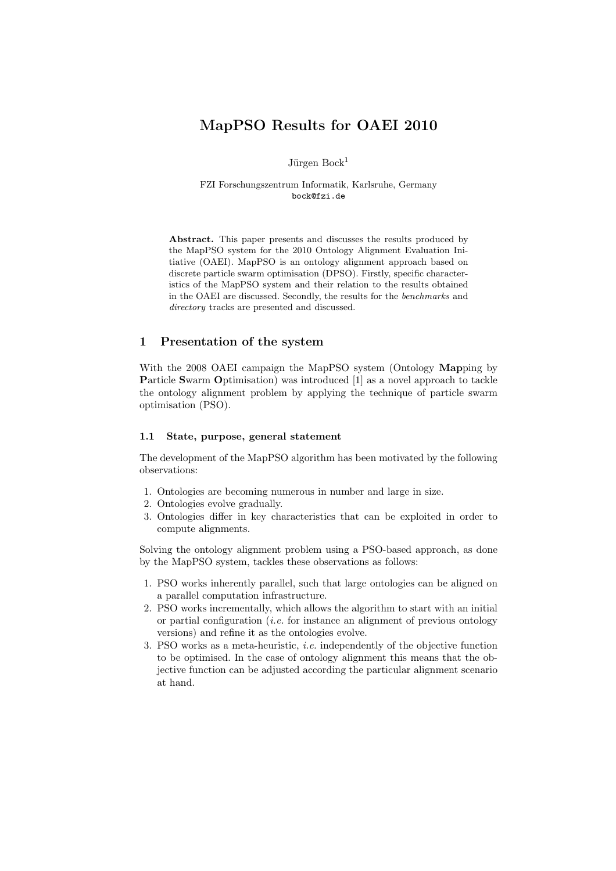# MapPSO Results for OAEI 2010

Jürgen  $Bock<sup>1</sup>$ 

FZI Forschungszentrum Informatik, Karlsruhe, Germany bock@fzi.de

Abstract. This paper presents and discusses the results produced by the MapPSO system for the 2010 Ontology Alignment Evaluation Initiative (OAEI). MapPSO is an ontology alignment approach based on discrete particle swarm optimisation (DPSO). Firstly, specific characteristics of the MapPSO system and their relation to the results obtained in the OAEI are discussed. Secondly, the results for the benchmarks and directory tracks are presented and discussed.

# 1 Presentation of the system

With the 2008 OAEI campaign the MapPSO system (Ontology Mapping by Particle Swarm Optimisation) was introduced [1] as a novel approach to tackle the ontology alignment problem by applying the technique of particle swarm optimisation (PSO).

### 1.1 State, purpose, general statement

The development of the MapPSO algorithm has been motivated by the following observations:

- 1. Ontologies are becoming numerous in number and large in size.
- 2. Ontologies evolve gradually.
- 3. Ontologies differ in key characteristics that can be exploited in order to compute alignments.

Solving the ontology alignment problem using a PSO-based approach, as done by the MapPSO system, tackles these observations as follows:

- 1. PSO works inherently parallel, such that large ontologies can be aligned on a parallel computation infrastructure.
- 2. PSO works incrementally, which allows the algorithm to start with an initial or partial configuration *(i.e.* for instance an alignment of previous ontology versions) and refine it as the ontologies evolve.
- 3. PSO works as a meta-heuristic, i.e. independently of the objective function to be optimised. In the case of ontology alignment this means that the objective function can be adjusted according the particular alignment scenario at hand.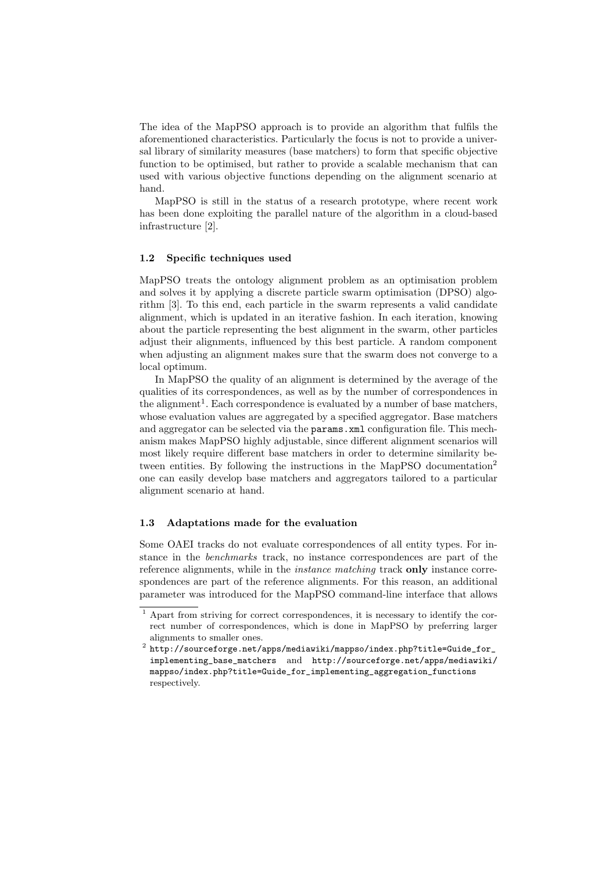The idea of the MapPSO approach is to provide an algorithm that fulfils the aforementioned characteristics. Particularly the focus is not to provide a universal library of similarity measures (base matchers) to form that specific objective function to be optimised, but rather to provide a scalable mechanism that can used with various objective functions depending on the alignment scenario at hand.

MapPSO is still in the status of a research prototype, where recent work has been done exploiting the parallel nature of the algorithm in a cloud-based infrastructure [2].

#### 1.2 Specific techniques used

MapPSO treats the ontology alignment problem as an optimisation problem and solves it by applying a discrete particle swarm optimisation (DPSO) algorithm [3]. To this end, each particle in the swarm represents a valid candidate alignment, which is updated in an iterative fashion. In each iteration, knowing about the particle representing the best alignment in the swarm, other particles adjust their alignments, influenced by this best particle. A random component when adjusting an alignment makes sure that the swarm does not converge to a local optimum.

In MapPSO the quality of an alignment is determined by the average of the qualities of its correspondences, as well as by the number of correspondences in the alignment<sup>1</sup>. Each correspondence is evaluated by a number of base matchers, whose evaluation values are aggregated by a specified aggregator. Base matchers and aggregator can be selected via the params.xml configuration file. This mechanism makes MapPSO highly adjustable, since different alignment scenarios will most likely require different base matchers in order to determine similarity between entities. By following the instructions in the MapPSO documentation<sup>2</sup> one can easily develop base matchers and aggregators tailored to a particular alignment scenario at hand.

#### 1.3 Adaptations made for the evaluation

Some OAEI tracks do not evaluate correspondences of all entity types. For instance in the benchmarks track, no instance correspondences are part of the reference alignments, while in the *instance matching* track only instance correspondences are part of the reference alignments. For this reason, an additional parameter was introduced for the MapPSO command-line interface that allows

<sup>1</sup> Apart from striving for correct correspondences, it is necessary to identify the correct number of correspondences, which is done in MapPSO by preferring larger alignments to smaller ones.

<sup>2</sup> http://sourceforge.net/apps/mediawiki/mappso/index.php?title=Guide\_for\_ implementing\_base\_matchers and http://sourceforge.net/apps/mediawiki/ mappso/index.php?title=Guide\_for\_implementing\_aggregation\_functions respectively.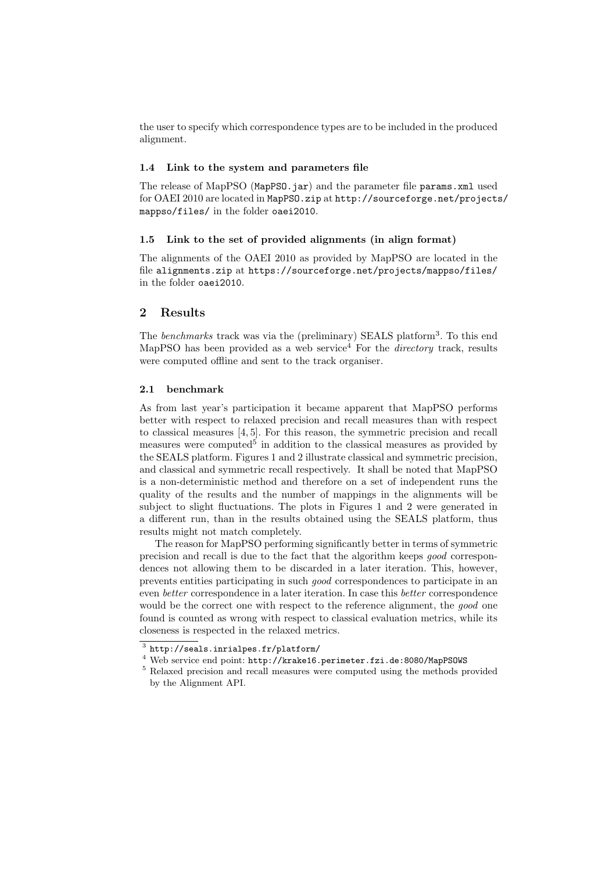the user to specify which correspondence types are to be included in the produced alignment.

#### 1.4 Link to the system and parameters file

The release of MapPSO (MapPSO.jar) and the parameter file params.xml used for OAEI 2010 are located in MapPSO.zip at http://sourceforge.net/projects/ mappso/files/ in the folder oaei2010.

#### 1.5 Link to the set of provided alignments (in align format)

The alignments of the OAEI 2010 as provided by MapPSO are located in the file alignments.zip at https://sourceforge.net/projects/mappso/files/ in the folder oaei2010.

# 2 Results

The *benchmarks* track was via the (preliminary) SEALS platform<sup>3</sup>. To this end MapPSO has been provided as a web service<sup>4</sup> For the *directory* track, results were computed offline and sent to the track organiser.

# 2.1 benchmark

As from last year's participation it became apparent that MapPSO performs better with respect to relaxed precision and recall measures than with respect to classical measures [4, 5]. For this reason, the symmetric precision and recall measures were computed<sup>5</sup> in addition to the classical measures as provided by the SEALS platform. Figures 1 and 2 illustrate classical and symmetric precision, and classical and symmetric recall respectively. It shall be noted that MapPSO is a non-deterministic method and therefore on a set of independent runs the quality of the results and the number of mappings in the alignments will be subject to slight fluctuations. The plots in Figures 1 and 2 were generated in a different run, than in the results obtained using the SEALS platform, thus results might not match completely.

The reason for MapPSO performing significantly better in terms of symmetric precision and recall is due to the fact that the algorithm keeps good correspondences not allowing them to be discarded in a later iteration. This, however, prevents entities participating in such good correspondences to participate in an even better correspondence in a later iteration. In case this better correspondence would be the correct one with respect to the reference alignment, the good one found is counted as wrong with respect to classical evaluation metrics, while its closeness is respected in the relaxed metrics.

 $3$  http://seals.inrialpes.fr/platform/

<sup>4</sup> Web service end point: http://krake16.perimeter.fzi.de:8080/MapPSOWS

<sup>5</sup> Relaxed precision and recall measures were computed using the methods provided by the Alignment API.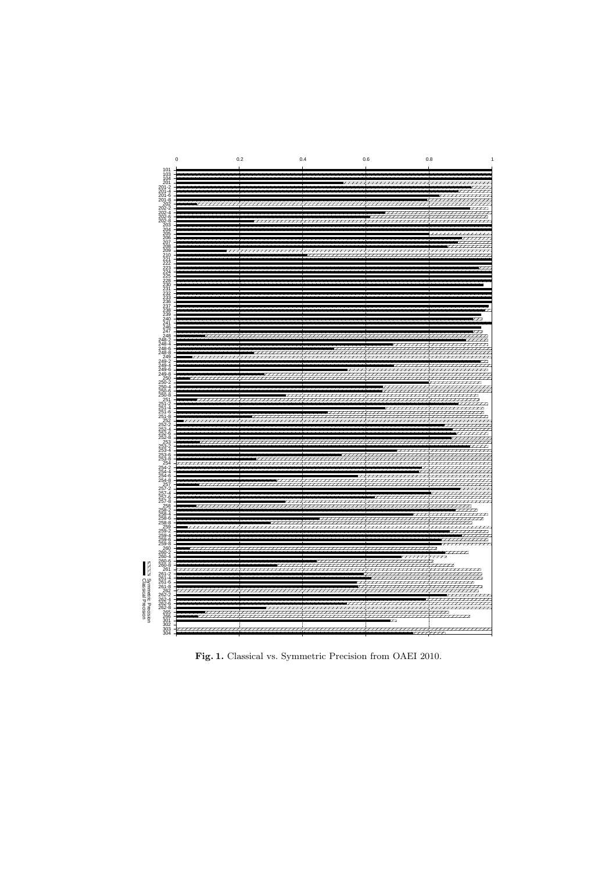

Fig. 1. Classical vs. Symmetric Precision from OAEI 2010.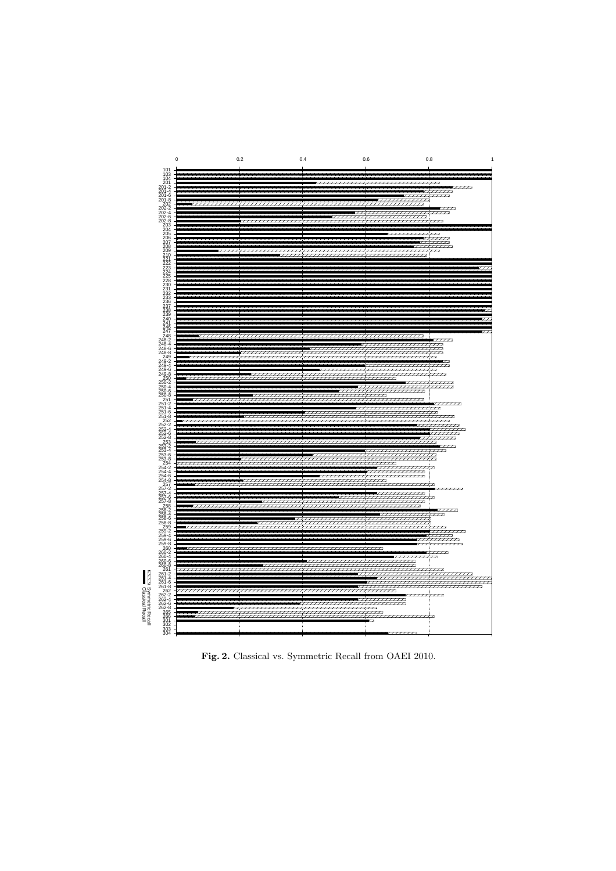

Fig. 2. Classical vs. Symmetric Recall from OAEI 2010.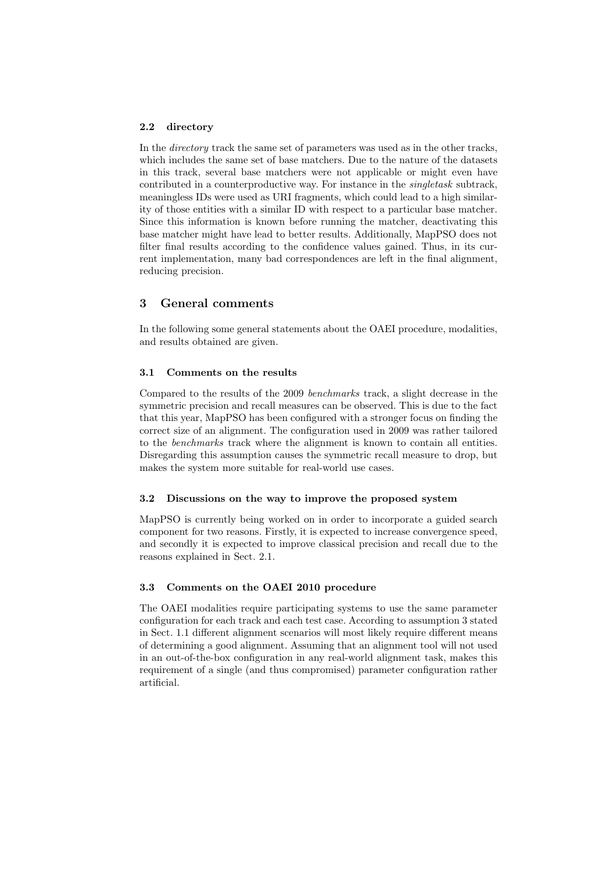#### 2.2 directory

In the directory track the same set of parameters was used as in the other tracks, which includes the same set of base matchers. Due to the nature of the datasets in this track, several base matchers were not applicable or might even have contributed in a counterproductive way. For instance in the singletask subtrack, meaningless IDs were used as URI fragments, which could lead to a high similarity of those entities with a similar ID with respect to a particular base matcher. Since this information is known before running the matcher, deactivating this base matcher might have lead to better results. Additionally, MapPSO does not filter final results according to the confidence values gained. Thus, in its current implementation, many bad correspondences are left in the final alignment, reducing precision.

# 3 General comments

In the following some general statements about the OAEI procedure, modalities, and results obtained are given.

#### 3.1 Comments on the results

Compared to the results of the 2009 benchmarks track, a slight decrease in the symmetric precision and recall measures can be observed. This is due to the fact that this year, MapPSO has been configured with a stronger focus on finding the correct size of an alignment. The configuration used in 2009 was rather tailored to the benchmarks track where the alignment is known to contain all entities. Disregarding this assumption causes the symmetric recall measure to drop, but makes the system more suitable for real-world use cases.

#### 3.2 Discussions on the way to improve the proposed system

MapPSO is currently being worked on in order to incorporate a guided search component for two reasons. Firstly, it is expected to increase convergence speed, and secondly it is expected to improve classical precision and recall due to the reasons explained in Sect. 2.1.

#### 3.3 Comments on the OAEI 2010 procedure

The OAEI modalities require participating systems to use the same parameter configuration for each track and each test case. According to assumption 3 stated in Sect. 1.1 different alignment scenarios will most likely require different means of determining a good alignment. Assuming that an alignment tool will not used in an out-of-the-box configuration in any real-world alignment task, makes this requirement of a single (and thus compromised) parameter configuration rather artificial.